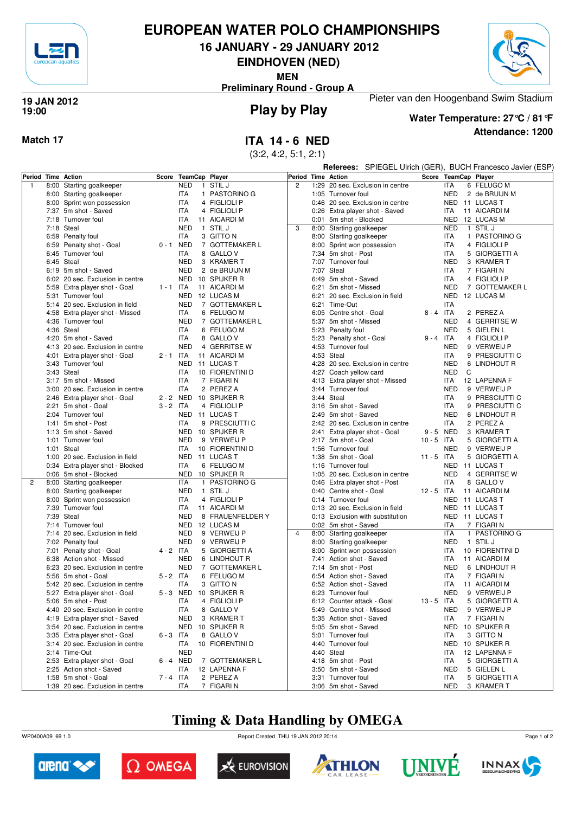

### **EUROPEAN WATER POLO CHAMPIONSHIPS**

**16 JANUARY - 29 JANUARY 2012**

**EINDHOVEN (NED)**

**MEN**



**Preliminary Round - Group A**

#### **Play by Play 19 JAN 2012 19:00**



#### **Attendance: 1200 Water Temperature: 27°C / 81°F**

Pieter van den Hoogenband Swim Stadium

**Match 17 ITA 14 - 6 NED**

(3:2, 4:2, 5:1, 2:1)

**Referees:** SPIEGEL Ulrich (GER), BUCH Francesco Javier (ESP)

| Period Time Action |                                  |             | Score TeamCap Player |                  | Period Time Action |                                  |              |            | Score TeamCap Player |
|--------------------|----------------------------------|-------------|----------------------|------------------|--------------------|----------------------------------|--------------|------------|----------------------|
| $\mathbf{1}$       | 8:00 Starting goalkeeper         |             | <b>NED</b>           | 1 STIL J         | $\overline{c}$     | 1:29 20 sec. Exclusion in centre |              | <b>ITA</b> | 6 FELUGO M           |
|                    | 8:00 Starting goalkeeper         |             | ITA                  | 1 PASTORINO G    |                    | 1:05 Turnover foul               |              | <b>NED</b> | 2 de BRUIJN M        |
|                    | 8:00 Sprint won possession       |             | ITA                  | 4 FIGLIOLI P     |                    | 0:46 20 sec. Exclusion in centre |              | NED        | 11 LUCAS T           |
|                    | 7:37 5m shot - Saved             |             | ITA                  | 4 FIGLIOLI P     |                    | 0:26 Extra player shot - Saved   |              | ITA        | 11 AICARDI M         |
|                    | 7:18 Turnover foul               |             | ITA                  | 11 AICARDI M     |                    | 0:01 5m shot - Blocked           |              | NED        | 12 LUCAS M           |
|                    | 7:18 Steal                       |             | <b>NED</b>           | 1 STIL J         | 3                  |                                  |              | <b>NED</b> | 1 STIL J             |
|                    |                                  |             |                      |                  |                    | 8:00 Starting goalkeeper         |              |            |                      |
|                    | 6:59 Penalty foul                |             | ITA                  | 3 GITTO N        |                    | 8:00 Starting goalkeeper         |              | ITA        | 1 PASTORINO G        |
|                    | 6:59 Penalty shot - Goal         | $0 - 1$ NED |                      | 7 GOTTEMAKER L   |                    | 8:00 Sprint won possession       |              | <b>ITA</b> | 4 FIGLIOLI P         |
|                    | 6:45 Turnover foul               |             | ITA                  | 8 GALLO V        |                    | 7:34 5m shot - Post              |              | ITA        | 5 GIORGETTI A        |
|                    | 6:45 Steal                       |             | <b>NED</b>           | 3 KRAMER T       |                    | 7:07 Turnover foul               |              | <b>NED</b> | 3 KRAMER T           |
|                    | 6:19 5m shot - Saved             |             | <b>NED</b>           | 2 de BRUIJN M    |                    | 7:07 Steal                       |              | ITA        | 7 FIGARI N           |
|                    | 6:02 20 sec. Exclusion in centre |             | NED                  | 10 SPIJKER R     |                    | 6:49 5m shot - Saved             |              | <b>ITA</b> | 4 FIGLIOLI P         |
|                    | 5:59 Extra player shot - Goal    | $1 - 1$ ITA |                      | 11 AICARDI M     |                    | 6:21 5m shot - Missed            |              | <b>NED</b> | 7 GOTTEMAKER L       |
|                    | 5:31 Turnover foul               |             | <b>NED</b>           | 12 LUCAS M       |                    | 6:21 20 sec. Exclusion in field  |              | <b>NED</b> | 12 LUCAS M           |
|                    | 5:14 20 sec. Exclusion in field  |             | <b>NED</b>           | 7 GOTTEMAKER L   |                    | 6:21 Time-Out                    |              | <b>ITA</b> |                      |
|                    | 4:58 Extra player shot - Missed  |             | ITA                  | 6 FELUGO M       |                    | 6:05 Centre shot - Goal          | $8 - 4$ ITA  |            | 2 PEREZ A            |
|                    | 4:36 Turnover foul               |             | <b>NED</b>           | 7 GOTTEMAKER L   |                    | 5:37 5m shot - Missed            |              | <b>NED</b> | 4 GERRITSE W         |
|                    | 4:36 Steal                       |             | ITA                  | 6 FELUGO M       |                    | 5:23 Penalty foul                |              | <b>NED</b> | 5 GIELEN L           |
|                    | 4:20 5m shot - Saved             |             | ITA                  | 8 GALLO V        |                    | 5:23 Penalty shot - Goal         | $9 - 4$ ITA  |            | 4 FIGLIOLI P         |
|                    | 4:13 20 sec. Exclusion in centre |             | <b>NED</b>           | 4 GERRITSE W     |                    | 4:53 Turnover foul               |              | <b>NED</b> | 9 VERWEIJ P          |
|                    | 4:01 Extra player shot - Goal    | $2 - 1$ ITA |                      | 11 AICARDI M     |                    | 4:53 Steal                       |              | <b>ITA</b> | 9 PRESCIUTTI C       |
|                    | 3:43 Turnover foul               |             | <b>NED</b>           | 11 LUCAS T       |                    | 4:28 20 sec. Exclusion in centre |              | <b>NED</b> | 6 LINDHOUT R         |
|                    | 3:43 Steal                       |             | ITA                  | 10 FIORENTINI D  |                    | 4:27 Coach yellow card           |              | <b>NED</b> | C                    |
|                    | 3:17 5m shot - Missed            |             | ITA                  | 7 FIGARI N       |                    | 4:13 Extra player shot - Missed  |              | ITA        | 12 LAPENNA F         |
|                    | 3:00 20 sec. Exclusion in centre |             | ITA                  | 2 PEREZ A        |                    | 3:44 Turnover foul               |              | <b>NED</b> | 9 VERWEIJ P          |
|                    | 2:46 Extra player shot - Goal    | 2 - 2 NED   |                      | 10 SPIJKER R     |                    | 3:44 Steal                       |              | ITA        | 9 PRESCIUTTI C       |
|                    | 2:21 5m shot - Goal              | $3 - 2$ ITA |                      | 4 FIGLIOLI P     |                    | 3:16 5m shot - Saved             |              | <b>ITA</b> | 9 PRESCIUTTI C       |
|                    | 2:04 Turnover foul               |             | NED                  | 11 LUCAS T       |                    | 2:49 5m shot - Saved             |              | <b>NED</b> | 6 LINDHOUT R         |
|                    | 1:41 5m shot - Post              |             | <b>ITA</b>           | 9 PRESCIUTTI C   |                    | 2:42 20 sec. Exclusion in centre |              | <b>ITA</b> | 2 PEREZ A            |
|                    | 1:13 5m shot - Saved             |             |                      | NED 10 SPIJKER R |                    |                                  |              |            | 3 KRAMER T           |
|                    |                                  |             |                      |                  |                    | 2:41 Extra player shot - Goal    | 9-5 NED      |            |                      |
|                    | 1:01 Turnover foul               |             | <b>NED</b>           | 9 VERWEIJ P      |                    | 2:17 5m shot - Goal              | $10 - 5$ ITA |            | 5 GIORGETTI A        |
|                    | 1:01 Steal                       |             | ITA                  | 10 FIORENTINI D  |                    | 1:56 Turnover foul               |              | <b>NED</b> | 9 VERWEIJ P          |
|                    | 1:00 20 sec. Exclusion in field  |             | NED                  | 11 LUCAS T       |                    | 1:38 5m shot - Goal              | $11 - 5$ ITA |            | 5 GIORGETTI A        |
|                    | 0:34 Extra player shot - Blocked |             | ITA                  | 6 FELUGO M       |                    | 1:16 Turnover foul               |              | <b>NED</b> | 11 LUCAS T           |
|                    | 0:06 5m shot - Blocked           |             | NED                  | 10 SPIJKER R     |                    | 1:05 20 sec. Exclusion in centre |              | <b>NED</b> | 4 GERRITSE W         |
| $\overline{c}$     | 8:00 Starting goalkeeper         |             | <b>ITA</b>           | 1 PASTORINO G    |                    | 0:46 Extra player shot - Post    |              | ITA        | 8 GALLO V            |
|                    | 8:00 Starting goalkeeper         |             | <b>NED</b>           | 1 STIL J         |                    | 0:40 Centre shot - Goal          | $12 - 5$ ITA |            | 11 AICARDI M         |
|                    | 8:00 Sprint won possession       |             | ITA                  | 4 FIGLIOLI P     |                    | 0:14 Turnover foul               |              | <b>NED</b> | 11 LUCAS T           |
|                    | 7:39 Turnover foul               |             | ITA                  | 11 AICARDI M     |                    | 0:13 20 sec. Exclusion in field  |              | NED        | 11 LUCAS T           |
|                    | 7:39 Steal                       |             | <b>NED</b>           | 8 FRAUENFELDER Y |                    | 0:13 Exclusion with substitution |              | NED        | 11 LUCAS T           |
|                    | 7:14 Turnover foul               |             | NED                  | 12 LUCAS M       |                    | 0:02 5m shot - Saved             |              | ITA        | 7 FIGARI N           |
|                    | 7:14 20 sec. Exclusion in field  |             | <b>NED</b>           | 9 VERWEIJ P      | $\overline{4}$     | 8:00 Starting goalkeeper         |              | ITA        | 1 PASTORINO G        |
|                    | 7:02 Penalty foul                |             | <b>NED</b>           | 9 VERWEIJ P      |                    | 8:00 Starting goalkeeper         |              | <b>NED</b> | 1 STIL J             |
|                    | 7:01 Penalty shot - Goal         | $4 - 2$ ITA |                      | 5 GIORGETTI A    |                    | 8:00 Sprint won possession       |              | ITA        | 10 FIORENTINI D      |
|                    | 6:38 Action shot - Missed        |             | <b>NED</b>           | 6 LINDHOUT R     |                    | 7:41 Action shot - Saved         |              | ITA        | 11 AICARDI M         |
|                    | 6:23 20 sec. Exclusion in centre |             | <b>NED</b>           | 7 GOTTEMAKER L   |                    | 7:14 5m shot - Post              |              | <b>NED</b> | 6 LINDHOUT R         |
|                    | 5:56 5m shot - Goal              | $5 - 2$ ITA |                      | 6 FELUGO M       |                    | 6:54 Action shot - Saved         |              | ITA        | 7 FIGARI N           |
|                    | 5:42 20 sec. Exclusion in centre |             | <b>ITA</b>           | 3 GITTO N        |                    | 6:52 Action shot - Saved         |              | ITA        | 11 AICARDI M         |
|                    | 5:27 Extra player shot - Goal    | 5-3 NED     |                      | 10 SPIJKER R     |                    | 6:23 Turnover foul               |              | <b>NED</b> | 9 VERWEIJ P          |
|                    | 5:06 5m shot - Post              |             | <b>ITA</b>           | 4 FIGLIOLI P     |                    | 6:12 Counter attack - Goal       | $13 - 5$ ITA |            | 5 GIORGETTI A        |
|                    | 4:40 20 sec. Exclusion in centre |             | <b>ITA</b>           | 8 GALLOV         |                    | 5:49 Centre shot - Missed        |              | <b>NED</b> | 9 VERWEIJ P          |
|                    | 4:19 Extra player shot - Saved   |             | <b>NED</b>           | 3 KRAMER T       |                    | 5:35 Action shot - Saved         |              | ITA        | 7 FIGARI N           |
|                    | 3:54 20 sec. Exclusion in centre |             | <b>NED</b>           | 10 SPIJKER R     |                    | 5:05 5m shot - Saved             |              | <b>NED</b> | 10 SPIJKER R         |
|                    | 3:35 Extra player shot - Goal    | $6 - 3$ ITA |                      | 8 GALLOV         |                    | 5:01 Turnover foul               |              | ITA        | 3 GITTO N            |
|                    | 3:14 20 sec. Exclusion in centre |             | ITA                  | 10 FIORENTINI D  |                    | 4:40 Turnover foul               |              | NED        | 10 SPIJKER R         |
|                    | 3:14 Time-Out                    |             | <b>NED</b>           |                  |                    | 4:40 Steal                       |              | ITA        | 12 LAPENNA F         |
|                    | 2:53 Extra player shot - Goal    | 6-4 NED     |                      | 7 GOTTEMAKER L   |                    | 4:18 5m shot - Post              |              | ITA        | 5 GIORGETTI A        |
|                    | 2:25 Action shot - Saved         |             | ITA                  | 12 LAPENNA F     |                    | 3:50 5m shot - Saved             |              | <b>NED</b> | 5 GIELEN L           |
|                    | 1:58 5m shot - Goal              | 7 - 4 ITA   |                      | 2 PEREZ A        |                    | 3:31 Turnover foul               |              | ITA        | 5 GIORGETTI A        |
|                    | 1:39 20 sec. Exclusion in centre |             | <b>ITA</b>           | 7 FIGARIN        |                    | 3:06 5m shot - Saved             |              | <b>NED</b> | 3 KRAMER T           |

# **Timing & Data Handling by OMEGA**

WP0400A09\_69 1.0 Report Created THU 19 JAN 2012 20:14













Page 1 of 2